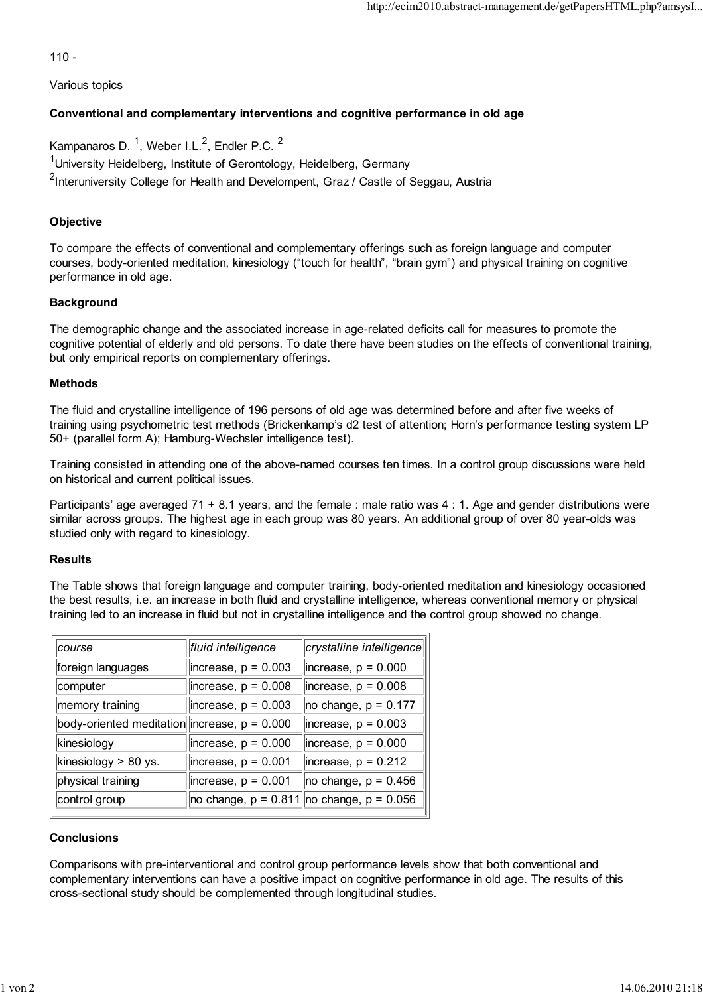110 -

Various topics

# **Conventional and complementary interventions and cognitive performance in old age**

Kampanaros D. <sup>1</sup>, Weber I.L.<sup>2</sup>, Endler P.C. <sup>2</sup>

<sup>1</sup>University Heidelberg, Institute of Gerontology, Heidelberg, Germany

<sup>2</sup>Interuniversity College for Health and Develompent, Graz / Castle of Seggau, Austria

## **Objective**

To compare the effects of conventional and complementary offerings such as foreign language and computer courses, body-oriented meditation, kinesiology ("touch for health", "brain gym") and physical training on cognitive performance in old age.

### **Background**

The demographic change and the associated increase in age-related deficits call for measures to promote the cognitive potential of elderly and old persons. To date there have been studies on the effects of conventional training, but only empirical reports on complementary offerings.

### **Methods**

The fluid and crystalline intelligence of 196 persons of old age was determined before and after five weeks of training using psychometric test methods (Brickenkamp's d2 test of attention; Horn's performance testing system LP 50+ (parallel form A); Hamburg-Wechsler intelligence test).

Training consisted in attending one of the above-named courses ten times. In a control group discussions were held on historical and current political issues.

Participants' age averaged 71  $\pm$  8.1 years, and the female : male ratio was 4 : 1. Age and gender distributions were similar across groups. The highest age in each group was 80 years. An additional group of over 80 year-olds was studied only with regard to kinesiology.

### **Results**

The Table shows that foreign language and computer training, body-oriented meditation and kinesiology occasioned the best results, i.e. an increase in both fluid and crystalline intelligence, whereas conventional memory or physical training led to an increase in fluid but not in crystalline intelligence and the control group showed no change.

| course                                         | fluid intelligence     | crystalline intelligence                                      |
|------------------------------------------------|------------------------|---------------------------------------------------------------|
| foreign languages                              | $ increase, p = 0.003$ | $\parallel$ increase, p = 0.000                               |
| computer                                       | $ increase, p = 0.008$ | $ increase, p = 0.008$                                        |
| memory training                                | $ increase, p = 0.003$ | $\vert$ no change, p = 0.177                                  |
| body-oriented meditation increase, $p = 0.000$ |                        | $ increase, p = 0.003$                                        |
| kinesiology                                    | $ increase, p = 0.000$ | $ increase, p = 0.000$                                        |
| kinesiology > 80 ys.                           | $ increase, p = 0.001$ | $ $ increase, p = 0.212                                       |
| physical training                              | $ increase, p = 0.001$ | $ no \space change, p = 0.456$                                |
| control group                                  |                        | $ no \space change, p = 0.811    no \space change, p = 0.056$ |

### **Conclusions**

Comparisons with pre-interventional and control group performance levels show that both conventional and complementary interventions can have a positive impact on cognitive performance in old age. The results of this cross-sectional study should be complemented through longitudinal studies.